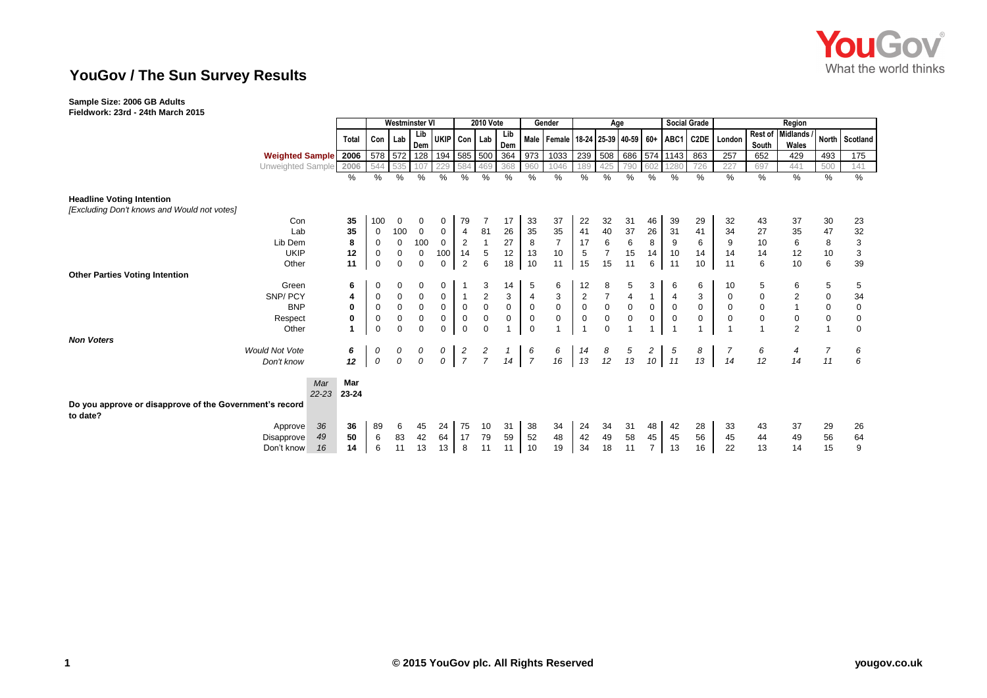

## **YouGov / The Sun Survey Results**

## **Sample Size: 2006 GB Adults**

**Fieldwork: 23rd - 24th March 2015**

|                                                                                 |                        |           | <b>Westminster VI</b> |             |             | <b>2010 Vote</b>            |                                 |                      |             | Gender      | Age                 |                                             |                         |                |                  | <b>Social Grade</b> |                                        | Region              |             |           |                         |             |                           |
|---------------------------------------------------------------------------------|------------------------|-----------|-----------------------|-------------|-------------|-----------------------------|---------------------------------|----------------------|-------------|-------------|---------------------|---------------------------------------------|-------------------------|----------------|------------------|---------------------|----------------------------------------|---------------------|-------------|-----------|-------------------------|-------------|---------------------------|
|                                                                                 |                        |           | <b>Total</b>          |             | Con   Lab   | Lib                         |                                 | UKIP Con Lab         |             | Lib         |                     | Male   Female   18-24   25-39   40-59   60+ |                         |                |                  |                     | ABC1                                   |                     | C2DE London |           | Rest of Midlands /      |             | North Scotland            |
|                                                                                 |                        |           |                       |             |             | Dem                         |                                 |                      |             | Dem         |                     |                                             |                         |                |                  |                     |                                        |                     |             | South     | Wales                   |             |                           |
|                                                                                 | <b>Weighted Sample</b> |           | 2006                  |             |             | 578 572 128 194 585 500 364 |                                 |                      |             |             | 973                 | 1033                                        | 239                     | 508            |                  |                     | 686 574 1143                           | 863                 | 257         | 652       | 429                     | 493         | 175                       |
|                                                                                 | Unweighted Sample      |           | 2006<br>$\frac{0}{0}$ | 544<br>%    | 535         | 107<br>$\frac{0}{0}$        | $\frac{0}{0}$                   | 584<br>$\frac{0}{0}$ | 469         | 368<br>%    | 960<br>$\%$         | 1046<br>$\%$                                | 189<br>%                | 425<br>$\%$    | 790<br>%         | 602<br>%            | 1280<br>$\frac{0}{0}$                  | 726<br>%            | 227<br>%    | 697<br>%  | 441<br>%                | 500<br>$\%$ | 141<br>$\%$               |
|                                                                                 |                        |           |                       |             | %           |                             |                                 |                      | %           |             |                     |                                             |                         |                |                  |                     |                                        |                     |             |           |                         |             |                           |
| <b>Headline Voting Intention</b><br>[Excluding Don't knows and Would not votes] |                        |           |                       |             |             |                             |                                 |                      |             |             |                     |                                             |                         |                |                  |                     |                                        |                     |             |           |                         |             |                           |
|                                                                                 | Con                    |           | 35                    | 100         | 0           | 0                           | 0                               | 79                   |             | 17          | 33                  | 37                                          | 22                      | 32             | 31               | 46                  | 39                                     | 29                  | 32          | 43        | 37                      | 30          | 23                        |
|                                                                                 | Lab                    |           | 35                    | 0           | 100         | $\mathbf{0}$                | $\mathbf 0$                     | 4                    | 81          | 26          | 35                  | 35                                          | 41                      | 40             | 37               | 26                  | 31                                     | 41                  | 34          | 27        | 35                      | 47          | 32                        |
|                                                                                 | Lib Dem                |           | 8                     | $\mathbf 0$ | $\mathbf 0$ | 100                         | $\overline{0}$                  | $\overline{2}$       |             | 27          | 8                   | $\overline{7}$                              | 17                      | $\,6\,$        | $\,6\,$          | 8                   | 9                                      | 6                   | $9\,$       | 10        | 6                       | 8           | $\ensuremath{\mathsf{3}}$ |
|                                                                                 | <b>UKIP</b>            |           | 12                    | 0           | 0           | $\mathbf 0$                 | 100                             | 14                   | 5           | 12          | 13                  | 10                                          | 5                       | $\overline{7}$ | 15               | 14                  | 10                                     | 14                  | 14          | 14        | 12                      | 10          | $\sqrt{3}$                |
|                                                                                 | Other                  |           | 11                    | $\mathbf 0$ | 0           | $\mathbf 0$                 | $\mathbf{0}$                    | $\overline{2}$       | 6           | 18          | 10                  | 11                                          | 15                      | 15             | 11               | 6                   | 11                                     | 10                  | 11          | 6         | 10                      | 6           | 39                        |
| <b>Other Parties Voting Intention</b>                                           |                        |           |                       |             |             |                             |                                 |                      |             |             |                     |                                             |                         |                |                  |                     |                                        |                     |             |           |                         |             |                           |
|                                                                                 | Green                  |           | 6                     | 0           | 0           | 0                           | 0                               |                      | 3           | 14          | 5                   | 6                                           | 12                      | 8              | 5                | 3                   | 6                                      | 6                   | 10          | 5         | 6                       | 5           | 5                         |
|                                                                                 | SNP/PCY                |           | 4                     | 0           | $\mathbf 0$ | $\mathbf 0$                 | 0                               | $\mathbf{1}$         | 2           | 3           | 4                   | $\mathsf 3$                                 | $\overline{\mathbf{c}}$ | $\overline{7}$ | 4                |                     | $\overline{a}$                         | 3                   | $\mathbf 0$ | $\pmb{0}$ | $\overline{\mathbf{c}}$ | $\mathbf 0$ | 34                        |
|                                                                                 | <b>BNP</b>             |           | 0                     | $\mathbf 0$ | 0           | $\mathbf 0$                 | $\mathbf 0$                     | $\mathbf 0$          | $\mathbf 0$ | $\mathbf 0$ | $\mathsf{O}\xspace$ | $\mathbf 0$                                 | $\pmb{0}$               | $\mathbf 0$    | $\mathsf 0$      | $\mathsf{O}\xspace$ | $\mathsf 0$                            | $\mathsf{O}\xspace$ | $\mathbf 0$ | $\pmb{0}$ |                         | $\mathbf 0$ | $\pmb{0}$                 |
|                                                                                 | Respect                |           | 0                     | 0           | 0           | $\mathbf 0$                 | $\mathbf 0$                     | $\mathbf 0$          | 0           | 0           | $\pmb{0}$           | $\mathbf 0$                                 | $\pmb{0}$               | $\mathbf 0$    | $\boldsymbol{0}$ | $\mathbf 0$         | $\boldsymbol{0}$                       | 0                   | $\mathbf 0$ | $\pmb{0}$ | $\mathbf 0$             | $\mathbf 0$ | $\mathbf 0$               |
|                                                                                 | Other                  |           |                       | $\mathbf 0$ | 0           | $\mathsf 0$                 | 0                               | $\mathbf 0$          | $\mathbf 0$ |             | $\mathbf 0$         |                                             |                         | $\mathbf{0}$   |                  |                     |                                        |                     |             |           | 2                       |             | $\mathbf 0$               |
| <b>Non Voters</b>                                                               |                        |           |                       |             |             |                             |                                 |                      |             |             |                     |                                             |                         |                |                  |                     |                                        |                     |             |           |                         |             |                           |
|                                                                                 | <b>Would Not Vote</b>  |           | 6                     | 0           | 0           | 0                           | $\begin{matrix}0\0\end{matrix}$ | $\frac{2}{7}$        | $rac{2}{7}$ |             | $\frac{6}{7}$       | 6<br>16                                     | 14<br>13                | $\frac{8}{12}$ |                  | $\overline{c}$      | $\begin{array}{c} 5 \\ 11 \end{array}$ | 8                   |             | 6         | 4                       | 7           | 6                         |
|                                                                                 | Don't know             |           | 12                    | ${\cal O}$  | 0           | $\overline{O}$              |                                 |                      |             | 14          |                     |                                             |                         |                | $\frac{5}{13}$   | 10                  |                                        | 13                  | 14          | 12        | 14                      | 11          | 6                         |
|                                                                                 |                        | Mar       | Mar                   |             |             |                             |                                 |                      |             |             |                     |                                             |                         |                |                  |                     |                                        |                     |             |           |                         |             |                           |
|                                                                                 |                        | $22 - 23$ | 23-24                 |             |             |                             |                                 |                      |             |             |                     |                                             |                         |                |                  |                     |                                        |                     |             |           |                         |             |                           |
| Do you approve or disapprove of the Government's record<br>to date?             |                        |           |                       |             |             |                             |                                 |                      |             |             |                     |                                             |                         |                |                  |                     |                                        |                     |             |           |                         |             |                           |
|                                                                                 | Approve                | 36        | 36                    | 89          | 6           | 45                          | 24                              | 75                   | 10          | 31          | 38                  | 34                                          | 24                      | 34             | 31               | 48                  | 42                                     | 28                  | 33          | 43        | 37                      | 29          | 26                        |
|                                                                                 | Disapprove             | 49        | 50                    | 6           | 83          | 42                          | 64                              | 17                   | 79          | 59          | 52                  | 48                                          | 42                      | 49             | 58               | 45                  | 45                                     | 56                  | 45          | 44        | 49                      | 56          | 64                        |
|                                                                                 | Don't know             | 16        | 14                    | 6           | 11          | 13                          | 13                              | 8                    | 11          | 11          | 10                  | 19                                          | 34                      | 18             | 11               | $\overline{7}$      | 13                                     | 16                  | 22          | 13        | 14                      | 15          | 9                         |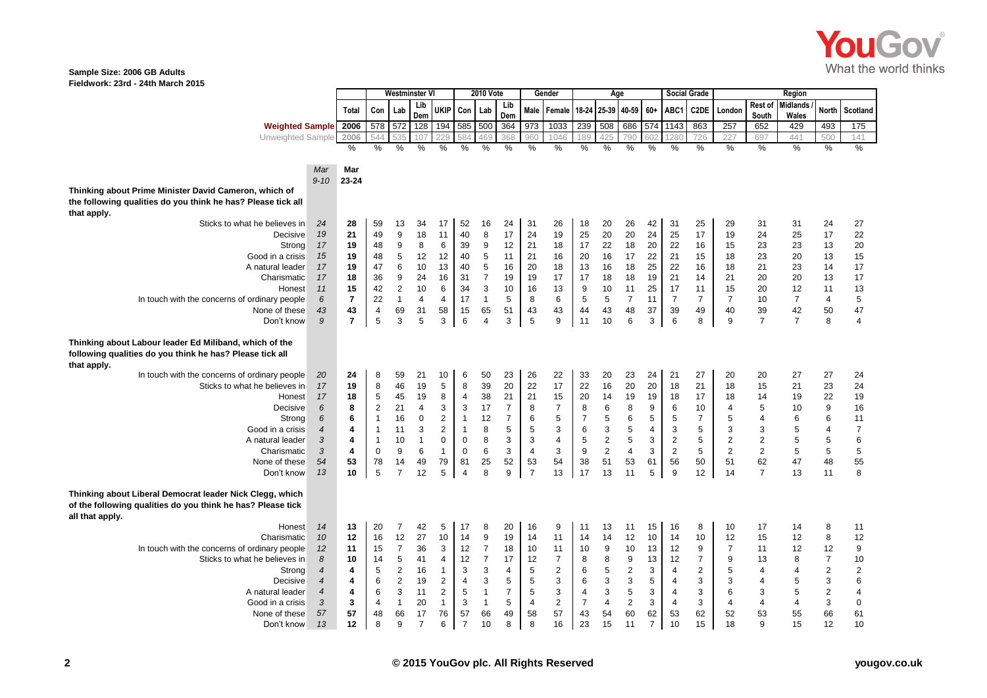

## **Sample Size: 2006 GB Adults Fieldwork: 23rd - 24th March 2015**

|                                                                                                                                            |                          |                         |                         | Westminster V    |                |                |                     | <b>2010 Vote</b> |                  |                           | Gender                  |                | Age                     |                |                |                 | <b>Social Grade</b> |                           |                | Region                    |                         |                                       |
|--------------------------------------------------------------------------------------------------------------------------------------------|--------------------------|-------------------------|-------------------------|------------------|----------------|----------------|---------------------|------------------|------------------|---------------------------|-------------------------|----------------|-------------------------|----------------|----------------|-----------------|---------------------|---------------------------|----------------|---------------------------|-------------------------|---------------------------------------|
|                                                                                                                                            |                          | Total                   | Con                     | Lab              | Lib<br>Dem     | <b>UKIP</b>    | Con                 | Lab              | Lib<br>Dem       | Male                      | Female                  | 18-24 25-39    |                         | 40-59          | $60+$          | ABC1            | C2DE                | London                    | South          | Rest of Midlands<br>Wales | North                   | Scotland                              |
| <b>Weighted Sample</b>                                                                                                                     |                          | 2006                    |                         | 578 572          | 128            |                | 194 585 500         |                  | 364              | 973                       | 1033                    | 239            | 508                     |                |                | 686 574 1143    | 863                 | 257                       | 652            | 429                       | 493                     | 175                                   |
| Unweighted Sample                                                                                                                          |                          | 2006                    |                         |                  |                |                |                     | 469              | 368              | 960                       | 1046                    | 89             | 425                     | 790            | 602            | 280             | 726                 | 227                       | 697            | 441                       | 500                     | 141                                   |
|                                                                                                                                            |                          | %                       | $\%$                    | $\frac{0}{0}$    | $\%$           | $\frac{0}{0}$  | $\frac{0}{0}$       | $\%$             | $\frac{0}{6}$    | %                         | %                       | %              | %                       | $\frac{0}{0}$  | $\frac{0}{0}$  | $\frac{0}{0}$   | $\frac{0}{0}$       | %                         | $\frac{0}{0}$  | $\frac{0}{2}$             | %                       | %                                     |
|                                                                                                                                            |                          |                         |                         |                  |                |                |                     |                  |                  |                           |                         |                |                         |                |                |                 |                     |                           |                |                           |                         |                                       |
|                                                                                                                                            | Mar<br>$9 - 10$          | Mar<br>23-24            |                         |                  |                |                |                     |                  |                  |                           |                         |                |                         |                |                |                 |                     |                           |                |                           |                         |                                       |
| Thinking about Prime Minister David Cameron, which of                                                                                      |                          |                         |                         |                  |                |                |                     |                  |                  |                           |                         |                |                         |                |                |                 |                     |                           |                |                           |                         |                                       |
| the following qualities do you think he has? Please tick all<br>that apply.                                                                |                          |                         |                         |                  |                |                |                     |                  |                  |                           |                         |                |                         |                |                |                 |                     |                           |                |                           |                         |                                       |
| Sticks to what he believes in                                                                                                              | 24                       | 28                      | 59                      | 13               | 34             | 17             | 52                  | 16               | 24               | 31                        | 26                      | 18             | 20                      | 26             | 42             | 31              | 25                  | 29                        | 31             | 31                        | 24                      | 27                                    |
| Decisive                                                                                                                                   | 19                       | 21                      | 49                      | $\boldsymbol{9}$ | 18             | 11             | 40                  | 8                | 17               | 24                        | 19                      | 25             | 20                      | $20\,$         | 24             | 25              | 17                  | 19                        | 24             | 25                        | 17                      | 22                                    |
| Strong                                                                                                                                     | 17                       | 19                      | 48                      | 9                | 8              | 6              | 39                  | 9                | 12               | 21                        | 18                      | 17             | 22                      | 18             | 20             | 22              | 16                  | 15                        | 23             | 23                        | 13                      | $20\,$                                |
| Good in a crisis                                                                                                                           | 15                       | 19                      | 48                      | $\,$ 5 $\,$      | 12             | 12             | 40                  | 5                | 11               | 21                        | 16                      | 20             | 16                      | 17             | 22             | 21              | 15                  | 18                        | 23             | 20                        | 13                      | 15                                    |
| A natural leader                                                                                                                           | 17                       | 19                      | 47                      | 6                | 10             | 13             | 40                  | $\sqrt{5}$       | 16               | 20                        | 18                      | 13             | 16                      | 18             | 25             | 22              | 16                  | 18                        | 21             | 23                        | 14                      | 17                                    |
| Charismatic                                                                                                                                | 17                       | 18                      | 36                      | 9                | 24             | 16             | 31                  | $\overline{7}$   | 19               | 19                        | 17                      | 17             | 18                      | 18             | 19             | 21              | 14                  | 21                        | 20             | 20                        | 13                      | 17                                    |
| Honest                                                                                                                                     | 11                       | 15                      | 42                      | $\sqrt{2}$       | 10             | 6              | 34                  | 3                | 10               | 16                        | 13                      | 9              | 10                      | 11             | 25             | 17              | 11                  | 15                        | 20             | 12                        | 11                      | 13                                    |
| In touch with the concerns of ordinary people                                                                                              | $\boldsymbol{6}$         | $\overline{\mathbf{r}}$ | 22                      | $\mathbf{1}$     | $\overline{4}$ | $\overline{4}$ | 17                  | $\mathbf{1}$     | 5                | 8                         | $6\phantom{1}$          | 5              | 5                       | $\overline{7}$ | 11             | $\overline{7}$  | $\overline{7}$      | $\overline{7}$            | 10             | $\overline{7}$            | $\overline{4}$          | $\mathbf 5$                           |
| None of these                                                                                                                              | 43                       | 43                      | $\overline{\mathbf{4}}$ | 69               | 31             | 58             | 15                  | 65               | 51               | 43                        | 43                      | 44             | 43                      | 48             | 37             | 39              | 49                  | 40                        | 39             | 42                        | 50                      | 47                                    |
| Don't know                                                                                                                                 | $\mathfrak g$            | $\overline{7}$          | 5                       | 3                | 5              | 3              | 6                   | $\overline{4}$   | 3                | 5                         | 9                       | 11             | 10                      | 6              | 3              | $6\phantom{1}6$ | 8                   | $\boldsymbol{9}$          | $\overline{7}$ | $\overline{7}$            | 8                       | $\overline{\mathbf{4}}$               |
| Thinking about Labour leader Ed Miliband, which of the<br>following qualities do you think he has? Please tick all                         |                          |                         |                         |                  |                |                |                     |                  |                  |                           |                         |                |                         |                |                |                 |                     |                           |                |                           |                         |                                       |
| that apply.                                                                                                                                |                          |                         |                         |                  |                |                |                     |                  |                  |                           |                         |                |                         |                |                |                 |                     |                           |                |                           |                         |                                       |
| In touch with the concerns of ordinary people                                                                                              | 20                       | 24                      | 8                       | 59               | 21             | 10             | $\,6$               | 50               | 23               | 26                        | 22                      | 33             | 20                      | 23             | 24             | 21              | 27                  | 20                        | 20             | 27                        | 27                      | 24                                    |
| Sticks to what he believes in                                                                                                              | 17                       | 19                      | 8                       | 46               | 19             | 5              | 8                   | 39               | 20               | 22                        | 17                      | 22             | 16                      | 20             | 20             | 18              | 21                  | 18                        | 15             | 21                        | 23                      | 24                                    |
| Honest                                                                                                                                     | 17                       | 18                      | 5                       | 45               | 19             | 8              | $\overline{4}$      | 38               | 21               | 21                        | 15                      | 20             | 14                      | 19             | 19             | 18              | 17                  | 18                        | 14             | 19                        | 22                      | $19$                                  |
| Decisive                                                                                                                                   | 6                        | 8                       | $\sqrt{2}$              | 21               | 4              | 3              | $\mathbf{3}$        | 17               | $\overline{7}$   | 8                         | $\boldsymbol{7}$        | 8              | 6                       | 8              | 9              | 6               | 10                  | 4                         | 5              | 10                        | 9                       | 16                                    |
| Strong                                                                                                                                     | 6                        | 6                       | $\mathbf{1}$            | 16               | $\mathbf 0$    | $\sqrt{2}$     | $\mathbf{1}$        | 12               | $\boldsymbol{7}$ | $\,6\,$                   | $\sqrt{5}$              | $\overline{7}$ | 5                       | 6              | 5              | 5               | $\boldsymbol{7}$    | 5                         | 4              | 6                         | 6                       | $11$                                  |
| Good in a crisis                                                                                                                           | $\overline{4}$           | 4                       | $\mathbf{1}$            | 11               | 3              | $\overline{2}$ | $\mathbf{1}$        | 8                | 5                | 5                         | 3                       | 6              | 3                       | 5              | 4              | 3               | 5                   | $\ensuremath{\mathsf{3}}$ | 3              | 5                         | $\overline{4}$          | $\boldsymbol{7}$                      |
| A natural leader                                                                                                                           | $\sqrt{3}$               | 4                       | $\mathbf{1}$            | 10               | $\mathbf{1}$   | 0              | $\mathsf{O}\xspace$ | 8                | 3                | $\ensuremath{\mathsf{3}}$ | $\overline{\mathbf{4}}$ | $\,$ 5 $\,$    | $\overline{\mathbf{c}}$ | 5              | 3              | $\sqrt{2}$      | $\sqrt{5}$          | $\mathbf 2$               | $\mathbf 2$    | $\,$ 5 $\,$               | $\,$ 5 $\,$             | $\begin{array}{c} 6 \\ 5 \end{array}$ |
| Charismatic                                                                                                                                | $\mathcal{S}$            | 4                       | $\mathbf 0$             | 9                | 6              | $\mathbf{1}$   | $\mathbf 0$         | 6                | 3                | $\overline{\mathbf{4}}$   | $\mathsf 3$             | 9              | $\overline{2}$          | $\overline{4}$ | 3              | $\overline{2}$  | 5                   | $\overline{2}$            | $\overline{2}$ | $\sqrt{5}$                | $\,$ 5 $\,$             |                                       |
| None of these                                                                                                                              | 54                       | 53                      | 78                      | 14               | 49             | 79             | 81                  | 25               | 52               | 53<br>$\overline{7}$      | 54                      | 38             | 51                      | 53             | 61             | 56              | 50                  | 51                        | 62             | 47                        | 48                      | 55                                    |
| Don't know                                                                                                                                 | 13                       | 10                      | 5                       | $\overline{7}$   | 12             | 5              | $\overline{4}$      | 8                | 9                |                           | 13                      | 17             | 13                      | 11             | 5              | 9               | 12                  | 14                        | $\overline{7}$ | 13                        | 11                      | 8                                     |
| Thinking about Liberal Democrat leader Nick Clegg, which<br>of the following qualities do you think he has? Please tick<br>all that apply. |                          |                         |                         |                  |                |                |                     |                  |                  |                           |                         |                |                         |                |                |                 |                     |                           |                |                           |                         |                                       |
| Honest                                                                                                                                     | 14                       | 13                      | 20                      | $\overline{7}$   | 42             | $\sqrt{5}$     | 17                  | 8                | 20               | 16                        | 9                       | 11             | 13                      | 11             | 15             | 16              | 8                   | 10                        | 17             | 14                        | 8                       | 11                                    |
| Charismatic                                                                                                                                | 10                       | 12                      | 16                      | 12               | 27             | 10             | 14                  | 9                | 19               | 14                        | 11                      | 14             | 14                      | 12             | 10             | 14              | 10                  | 12                        | 15             | 12                        | 8                       | 12                                    |
| In touch with the concerns of ordinary people                                                                                              | 12                       | 11                      | 15                      | $\overline{7}$   | 36             | 3              | 12                  | $\overline{7}$   | 18               | 10                        | 11                      | 10             | $\boldsymbol{9}$        | 10             | 13             | 12              | $\boldsymbol{9}$    | $\overline{7}$            | 11             | 12                        | 12                      | $\boldsymbol{9}$                      |
| Sticks to what he believes in                                                                                                              | $\boldsymbol{8}$         | 10                      | 14                      | 5                | 41             | 4              | 12                  | $\overline{7}$   | 17               | 12                        | $\overline{7}$          | 8              | 8                       | 9              | 13             | 12              | $\overline{7}$      | 9                         | 13             | 8                         | $\overline{7}$          | $10$                                  |
| Strong                                                                                                                                     | $\overline{\mathcal{A}}$ | 4                       | $\sqrt{5}$              | $\overline{2}$   | 16             | $\mathbf{1}$   | $\mathsf 3$         | 3                | 4                | $\sqrt{5}$                | $\overline{2}$          | 6              | 5                       | $\overline{2}$ | 3              | $\overline{4}$  | $\sqrt{2}$          | 5                         | 4              | 4                         | $\overline{2}$          | $\overline{\mathbf{c}}$               |
| Decisive                                                                                                                                   | $\overline{4}$           | 4                       | 6                       | $\overline{2}$   | 19             | $\overline{2}$ | $\overline{4}$      | 3                | 5                | 5                         | 3                       | 6              | 3                       | 3              | 5              | $\overline{4}$  | 3                   | 3                         | 4              | 5                         | $\mathbf{3}$            | $\boldsymbol{6}$                      |
| A natural leader                                                                                                                           | $\boldsymbol{4}$         | 4                       | 6                       | 3                | 11             | $\overline{2}$ | 5                   | $\mathbf{1}$     | $\overline{7}$   | 5                         | 3                       | 4              | 3                       | $\sqrt{5}$     | 3              | $\overline{4}$  | 3                   | 6                         | 3              | 5                         | $\overline{\mathbf{c}}$ | $\pmb{4}$                             |
| Good in a crisis                                                                                                                           | 3                        | 3                       | $\overline{4}$          | $\mathbf{1}$     | 20             | $\mathbf{1}$   | 3                   | $\mathbf{1}$     | 5                | $\overline{\mathbf{4}}$   | $\mathbf 2$             | $\overline{7}$ | $\overline{4}$          | $\overline{2}$ | 3              | $\overline{4}$  | 3                   | $\overline{4}$            | $\overline{4}$ | 4                         | 3                       | $\mathbf 0$                           |
| None of these                                                                                                                              | 57                       | 57                      | 48                      | 66               | 17             | 76             | 57                  | 66               | 49               | 58                        | 57                      | 43             | 54                      | 60             | 62             | 53              | 62                  | 52                        | 53             | 55                        | 66                      | 61                                    |
| Don't know                                                                                                                                 | 13                       | 12                      | 8                       | 9                | $\overline{7}$ | 6              | $\overline{7}$      | 10               | 8                | 8                         | 16                      | 23             | 15                      | 11             | $\overline{7}$ | 10              | 15                  | 18                        | q              | 15                        | 12                      | 10                                    |